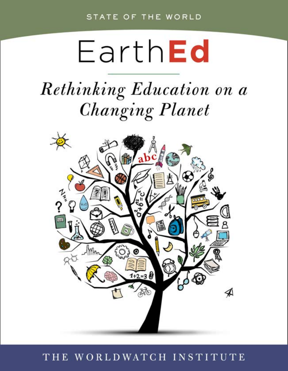STATE OF THE WORLD



# **Rethinking Education on a Changing Planet**



### THE WORLDWATCH INSTITUTE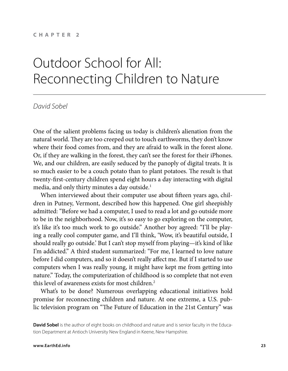# Outdoor School for All: Reconnecting Children to Nature

#### *David Sobel*

One of the salient problems facing us today is children's alienation from the natural world. They are too creeped out to touch earthworms, they don't know where their food comes from, and they are afraid to walk in the forest alone. Or, if they are walking in the forest, they can't see the forest for their iPhones. We, and our children, are easily seduced by the panoply of digital treats. It is so much easier to be a couch potato than to plant potatoes. The result is that twenty-first-century children spend eight hours a day interacting with digital media, and only thirty minutes a day outside.<sup>1</sup>

When interviewed about their computer use about fifteen years ago, children in Putney, Vermont, described how this happened. One girl sheepishly admitted: "Before we had a computer, I used to read a lot and go outside more to be in the neighborhood. Now, it's so easy to go exploring on the computer, it's like it's too much work to go outside." Another boy agreed: "I'll be playing a really cool computer game, and I'll think, 'Wow, it's beautiful outside, I should really go outside.' But I can't stop myself from playing—it's kind of like I'm addicted." A third student summarized: "For me, I learned to love nature before I did computers, and so it doesn't really affect me. But if I started to use computers when I was really young, it might have kept me from getting into nature." Today, the computerization of childhood is so complete that not even this level of awareness exists for most children.<sup>2</sup>

What's to be done? Numerous overlapping educational initiatives hold promise for reconnecting children and nature. At one extreme, a U.S. public television program on "The Future of Education in the 21st Century" was

**David Sobel** is the author of eight books on childhood and nature and is senior faculty in the Education Department at Antioch University New England in Keene, New Hampshire.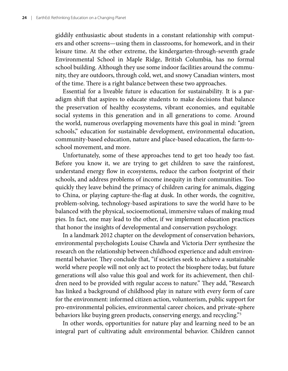giddily enthusiastic about students in a constant relationship with computers and other screens—using them in classrooms, for homework, and in their leisure time. At the other extreme, the kindergarten-through-seventh grade Environmental School in Maple Ridge, British Columbia, has no formal school building. Although they use some indoor facilities around the community, they are outdoors, through cold, wet, and snowy Canadian winters, most of the time. There is a right balance between these two approaches.

Essential for a liveable future is education for sustainability. It is a paradigm shift that aspires to educate students to make decisions that balance the preservation of healthy ecosystems, vibrant economies, and equitable social systems in this generation and in all generations to come. Around the world, numerous overlapping movements have this goal in mind: "green schools," education for sustainable development, environmental education, community-based education, nature and place-based education, the farm-toschool movement, and more.

Unfortunately, some of these approaches tend to get too heady too fast. Before you know it, we are trying to get children to save the rainforest, understand energy flow in ecosystems, reduce the carbon footprint of their schools, and address problems of income inequity in their communities. Too quickly they leave behind the primacy of children caring for animals, digging to China, or playing capture-the-flag at dusk. In other words, the cognitive, problem-solving, technology-based aspirations to save the world have to be balanced with the physical, socioemotional, immersive values of making mud pies. In fact, one may lead to the other, if we implement education practices that honor the insights of developmental and conservation psychology.

In a landmark 2012 chapter on the development of conservation behaviors, environmental psychologists Louise Chawla and Victoria Derr synthesize the research on the relationship between childhood experience and adult environmental behavior. They conclude that, "if societies seek to achieve a sustainable world where people will not only act to protect the biosphere today, but future generations will also value this goal and work for its achievement, then children need to be provided with regular access to nature." They add, "Research has linked a background of childhood play in nature with every form of care for the environment: informed citizen action, volunteerism, public support for pro-environmental policies, environmental career choices, and private-sphere behaviors like buying green products, conserving energy, and recycling."3

In other words, opportunities for nature play and learning need to be an integral part of cultivating adult environmental behavior. Children cannot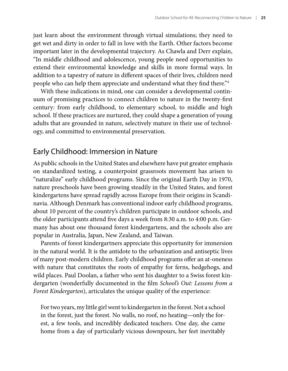just learn about the environment through virtual simulations; they need to get wet and dirty in order to fall in love with the Earth. Other factors become important later in the developmental trajectory. As Chawla and Derr explain, "In middle childhood and adolescence, young people need opportunities to extend their environmental knowledge and skills in more formal ways. In addition to a tapestry of nature in different spaces of their lives, children need people who can help them appreciate and understand what they find there."4

With these indications in mind, one can consider a developmental continuum of promising practices to connect children to nature in the twenty-first century: from early childhood, to elementary school, to middle and high school. If these practices are nurtured, they could shape a generation of young adults that are grounded in nature, selectively mature in their use of technology, and committed to environmental preservation.

#### Early Childhood: Immersion in Nature

As public schools in the United States and elsewhere have put greater emphasis on standardized testing, a counterpoint grassroots movement has arisen to "naturalize" early childhood programs. Since the original Earth Day in 1970, nature preschools have been growing steadily in the United States, and forest kindergartens have spread rapidly across Europe from their origins in Scandinavia. Although Denmark has conventional indoor early childhood programs, about 10 percent of the country's children participate in outdoor schools, and the older participants attend five days a week from 8:30 a.m. to 4:00 p.m. Germany has about one thousand forest kindergartens, and the schools also are popular in Australia, Japan, New Zealand, and Taiwan.

Parents of forest kindergartners appreciate this opportunity for immersion in the natural world. It is the antidote to the urbanization and antiseptic lives of many post-modern children. Early childhood programs offer an at-oneness with nature that constitutes the roots of empathy for ferns, hedgehogs, and wild places. Paul Doolan, a father who sent his daughter to a Swiss forest kindergarten (wonderfully documented in the film *School's Out: Lessons from a Forest Kindergarten*), articulates the unique quality of the experience:

For two years, my little girl went to kindergarten in the forest. Not a school in the forest, just the forest. No walls, no roof, no heating—only the forest, a few tools, and incredibly dedicated teachers. One day, she came home from a day of particularly vicious downpours, her feet inevitably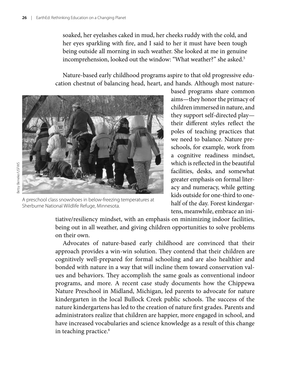soaked, her eyelashes caked in mud, her cheeks ruddy with the cold, and her eyes sparkling with fire, and I said to her it must have been tough being outside all morning in such weather. She looked at me in genuine incomprehension, looked out the window: "What weather?" she asked.<sup>5</sup>

Nature-based early childhood programs aspire to that old progressive education chestnut of balancing head, heart, and hands. Although most nature-



A preschool class snowshoes in below-freezing temperatures at Sherburne National Wildlife Refuge, Minnesota.

based programs share common aims—they honor the primacy of children immersed in nature, and they support self-directed play their different styles reflect the poles of teaching practices that we need to balance. Nature preschools, for example, work from a cognitive readiness mindset, which is reflected in the beautiful facilities, desks, and somewhat greater emphasis on formal literacy and numeracy, while getting kids outside for one-third to onehalf of the day. Forest kindergartens, meanwhile, embrace an ini-

tiative/resiliency mindset, with an emphasis on minimizing indoor facilities, being out in all weather, and giving children opportunities to solve problems on their own.

Advocates of nature-based early childhood are convinced that their approach provides a win-win solution. They contend that their children are cognitively well-prepared for formal schooling and are also healthier and bonded with nature in a way that will incline them toward conservation values and behaviors. They accomplish the same goals as conventional indoor programs, and more. A recent case study documents how the Chippewa Nature Preschool in Midland, Michigan, led parents to advocate for nature kindergarten in the local Bullock Creek public schools. The success of the nature kindergartens has led to the creation of nature first grades. Parents and administrators realize that children are happier, more engaged in school, and have increased vocabularies and science knowledge as a result of this change in teaching practice.<sup>6</sup>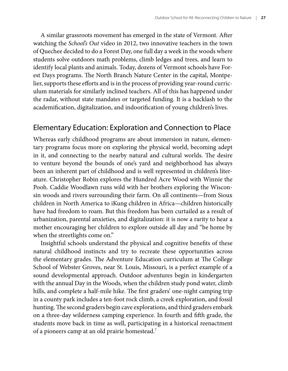A similar grassroots movement has emerged in the state of Vermont. After watching the *School's Out* video in 2012, two innovative teachers in the town of Quechee decided to do a Forest Day, one full day a week in the woods where students solve outdoors math problems, climb ledges and trees, and learn to identify local plants and animals. Today, dozens of Vermont schools have Forest Days programs. The North Branch Nature Center in the capital, Montpelier, supports these efforts and is in the process of providing year-round curriculum materials for similarly inclined teachers. All of this has happened under the radar, without state mandates or targeted funding. It is a backlash to the academification, digitalization, and indoorification of young children's lives.

#### Elementary Education: Exploration and Connection to Place

Whereas early childhood programs are about immersion in nature, elementary programs focus more on exploring the physical world, becoming adept in it, and connecting to the nearby natural and cultural worlds. The desire to venture beyond the bounds of one's yard and neighborhood has always been an inherent part of childhood and is well represented in children's literature. Christopher Robin explores the Hundred Acre Wood with Winnie the Pooh. Caddie Woodlawn runs wild with her brothers exploring the Wisconsin woods and rivers surrounding their farm. On all continents—from Sioux children in North America to iKung children in Africa—children historically have had freedom to roam. But this freedom has been curtailed as a result of urbanization, parental anxieties, and digitalization: it is now a rarity to hear a mother encouraging her children to explore outside all day and "be home by when the streetlights come on."

Insightful schools understand the physical and cognitive benefits of these natural childhood instincts and try to recreate these opportunities across the elementary grades. The Adventure Education curriculum at The College School of Webster Groves, near St. Louis, Missouri, is a perfect example of a sound developmental approach. Outdoor adventures begin in kindergarten with the annual Day in the Woods, when the children study pond water, climb hills, and complete a half-mile hike. The first graders' one-night camping trip in a county park includes a ten-foot rock climb, a creek exploration, and fossil hunting. The second graders begin cave explorations, and third graders embark on a three-day wilderness camping experience. In fourth and fifth grade, the students move back in time as well, participating in a historical reenactment of a pioneers camp at an old prairie homestead.7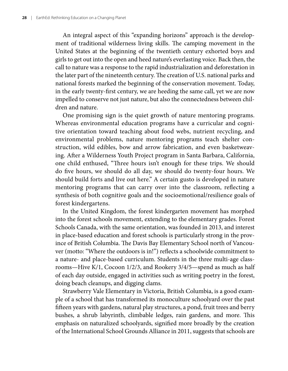An integral aspect of this "expanding horizons" approach is the development of traditional wilderness living skills. The camping movement in the United States at the beginning of the twentieth century exhorted boys and girls to get out into the open and heed nature's everlasting voice. Back then, the call to nature was a response to the rapid industrialization and deforestation in the later part of the nineteenth century. The creation of U.S. national parks and national forests marked the beginning of the conservation movement. Today, in the early twenty-first century, we are heeding the same call, yet we are now impelled to conserve not just nature, but also the connectedness between children and nature.

One promising sign is the quiet growth of nature mentoring programs. Whereas environmental education programs have a curricular and cognitive orientation toward teaching about food webs, nutrient recycling, and environmental problems, nature mentoring programs teach shelter construction, wild edibles, bow and arrow fabrication, and even basketweaving. After a Wilderness Youth Project program in Santa Barbara, California, one child enthused, "Three hours isn't enough for these trips. We should do five hours, we should do all day, we should do twenty-four hours. We should build forts and live out here." A certain gusto is developed in nature mentoring programs that can carry over into the classroom, reflecting a synthesis of both cognitive goals and the socioemotional/resilience goals of forest kindergartens.

In the United Kingdom, the forest kindergarten movement has morphed into the forest schools movement, extending to the elementary grades. Forest Schools Canada, with the same orientation, was founded in 2013, and interest in place-based education and forest schools is particularly strong in the province of British Columbia. The Davis Bay Elementary School north of Vancouver (motto: "Where the outdoors is in!") reflects a schoolwide commitment to a nature- and place-based curriculum. Students in the three multi-age classrooms—Hive K/1, Cocoon 1/2/3, and Rookery 3/4/5—spend as much as half of each day outside, engaged in activities such as writing poetry in the forest, doing beach cleanups, and digging clams.

Strawberry Vale Elementary in Victoria, British Columbia, is a good example of a school that has transformed its monoculture schoolyard over the past fifteen years with gardens, natural play structures, a pond, fruit trees and berry bushes, a shrub labyrinth, climbable ledges, rain gardens, and more. This emphasis on naturalized schoolyards, signified more broadly by the creation of the International School Grounds Alliance in 2011, suggests that schools are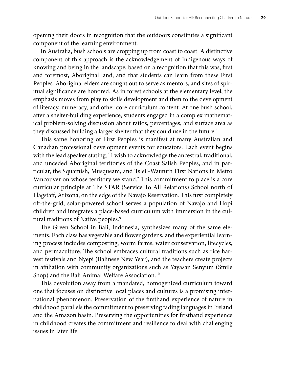opening their doors in recognition that the outdoors constitutes a significant component of the learning environment.

In Australia, bush schools are cropping up from coast to coast. A distinctive component of this approach is the acknowledgement of Indigenous ways of knowing and being in the landscape, based on a recognition that this was, first and foremost, Aboriginal land, and that students can learn from these First Peoples. Aboriginal elders are sought out to serve as mentors, and sites of spiritual significance are honored. As in forest schools at the elementary level, the emphasis moves from play to skills development and then to the development of literacy, numeracy, and other core curriculum content. At one bush school, after a shelter-building experience, students engaged in a complex mathematical problem-solving discussion about ratios, percentages, and surface area as they discussed building a larger shelter that they could use in the future.<sup>8</sup>

This same honoring of First Peoples is manifest at many Australian and Canadian professional development events for educators. Each event begins with the lead speaker stating*,* "I wish to acknowledge the ancestral, traditional, and unceded Aboriginal territories of the Coast Salish Peoples, and in particular, the Squamish, Musqueam, and Tsleil-Waututh First Nations in Metro Vancouver on whose territory we stand." This commitment to place is a core curricular principle at The STAR (Service To All Relations) School north of Flagstaff, Arizona, on the edge of the Navajo Reservation. This first completely off-the-grid, solar-powered school serves a population of Navajo and Hopi children and integrates a place-based curriculum with immersion in the cultural traditions of Native peoples.<sup>9</sup>

The Green School in Bali, Indonesia, synthesizes many of the same elements. Each class has vegetable and flower gardens, and the experiential learning process includes composting, worm farms, water conservation, lifecycles, and permaculture. The school embraces cultural traditions such as rice harvest festivals and Nyepi (Balinese New Year), and the teachers create projects in affiliation with community organizations such as Yayasan Senyum (Smile Shop) and the Bali Animal Welfare Association.<sup>10</sup>

This devolution away from a mandated, homogenized curriculum toward one that focuses on distinctive local places and cultures is a promising international phenomenon. Preservation of the firsthand experience of nature in childhood parallels the commitment to preserving fading languages in Ireland and the Amazon basin. Preserving the opportunities for firsthand experience in childhood creates the commitment and resilience to deal with challenging issues in later life.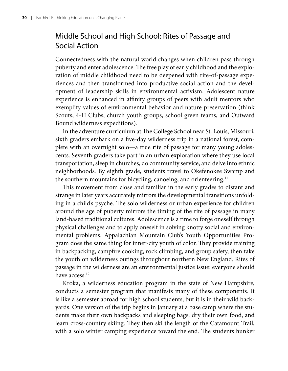#### Middle School and High School: Rites of Passage and Social Action

Connectedness with the natural world changes when children pass through puberty and enter adolescence. The free play of early childhood and the exploration of middle childhood need to be deepened with rite-of-passage experiences and then transformed into productive social action and the development of leadership skills in environmental activism. Adolescent nature experience is enhanced in affinity groups of peers with adult mentors who exemplify values of environmental behavior and nature preservation (think Scouts, 4-H Clubs, church youth groups, school green teams, and Outward Bound wilderness expeditions).

In the adventure curriculum at The College School near St. Louis, Missouri, sixth graders embark on a five-day wilderness trip in a national forest, complete with an overnight solo—a true rite of passage for many young adolescents. Seventh graders take part in an urban exploration where they use local transportation, sleep in churches, do community service, and delve into ethnic neighborhoods. By eighth grade, students travel to Okefenokee Swamp and the southern mountains for bicycling, canoeing, and orienteering.<sup>11</sup>

This movement from close and familiar in the early grades to distant and strange in later years accurately mirrors the developmental transitions unfolding in a child's psyche. The solo wilderness or urban experience for children around the age of puberty mirrors the timing of the rite of passage in many land-based traditional cultures. Adolescence is a time to forge oneself through physical challenges and to apply oneself in solving knotty social and environmental problems. Appalachian Mountain Club's Youth Opportunities Program does the same thing for inner-city youth of color. They provide training in backpacking, campfire cooking, rock climbing, and group safety, then take the youth on wilderness outings throughout northern New England. Rites of passage in the wilderness are an environmental justice issue: everyone should have access.<sup>12</sup>

Kroka, a wilderness education program in the state of New Hampshire, conducts a semester program that manifests many of these components. It is like a semester abroad for high school students, but it is in their wild backyards. One version of the trip begins in January at a base camp where the students make their own backpacks and sleeping bags, dry their own food, and learn cross-country skiing. They then ski the length of the Catamount Trail, with a solo winter camping experience toward the end. The students hunker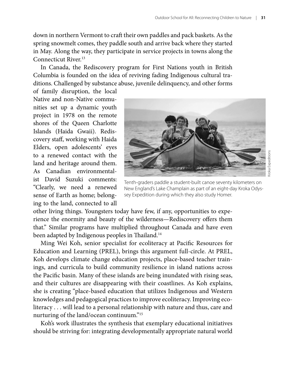down in northern Vermont to craft their own paddles and pack baskets. As the spring snowmelt comes, they paddle south and arrive back where they started in May. Along the way, they participate in service projects in towns along the Connecticut River.13

In Canada, the Rediscovery program for First Nations youth in British Columbia is founded on the idea of reviving fading Indigenous cultural traditions. Challenged by substance abuse, juvenile delinquency, and other forms

of family disruption, the local Native and non-Native communities set up a dynamic youth project in 1978 on the remote shores of the Queen Charlotte Islands (Haida Gwaii). Rediscovery staff, working with Haida Elders, open adolescents' eyes to a renewed contact with the land and heritage around them. As Canadian environmentalist David Suzuki comments: "Clearly, we need a renewed sense of Earth as home; belonging to the land, connected to all



Tenth-graders paddle a student-built canoe seventy kilometers on New England's Lake Champlain as part of an eight-day Kroka Odyssey Expedition during which they also study Homer.

other living things. Youngsters today have few, if any, opportunities to experience the enormity and beauty of the wilderness—Rediscovery offers them that." Similar programs have multiplied throughout Canada and have even been adapted by Indigenous peoples in Thailand.<sup>14</sup>

Ming Wei Koh, senior specialist for ecoliteracy at Pacific Resources for Education and Learning (PREL), brings this argument full-circle. At PREL, Koh develops climate change education projects, place-based teacher trainings, and curricula to build community resilience in island nations across the Pacific basin. Many of these islands are being inundated with rising seas, and their cultures are disappearing with their coastlines. As Koh explains, she is creating "place-based education that utilizes Indigenous and Western knowledges and pedagogical practices to improve ecoliteracy. Improving ecoliteracy . . . will lead to a personal relationship with nature and thus, care and nurturing of the land/ocean continuum."15

Koh's work illustrates the synthesis that exemplary educational initiatives should be striving for: integrating developmentally appropriate natural world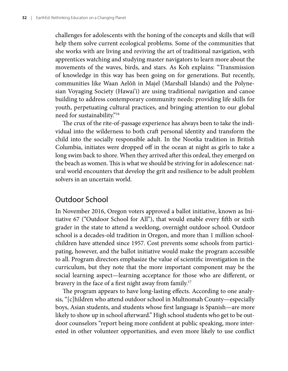challenges for adolescents with the honing of the concepts and skills that will help them solve current ecological problems. Some of the communities that she works with are living and reviving the art of traditional navigation, with apprentices watching and studying master navigators to learn more about the movements of the waves, birds, and stars. As Koh explains: "Transmission of knowledge in this way has been going on for generations. But recently, communities like Waan Aelõñ in Majel (Marshall Islands) and the Polynesian Voyaging Society (Hawai'i) are using traditional navigation and canoe building to address contemporary community needs: providing life skills for youth, perpetuating cultural practices, and bringing attention to our global need for sustainability."16

The crux of the rite-of-passage experience has always been to take the individual into the wilderness to both craft personal identity and transform the child into the socially responsible adult. In the Nootka tradition in British Columbia, initiates were dropped off in the ocean at night as girls to take a long swim back to shore. When they arrived after this ordeal, they emerged on the beach as women. This is what we should be striving for in adolescence: natural world encounters that develop the grit and resilience to be adult problem solvers in an uncertain world.

#### Outdoor School

In November 2016, Oregon voters approved a ballot initiative, known as Initiative 67 ("Outdoor School for All"), that would enable every fifth or sixth grader in the state to attend a weeklong, overnight outdoor school. Outdoor school is a decades-old tradition in Oregon, and more than 1 million schoolchildren have attended since 1957. Cost prevents some schools from participating, however, and the ballot initiative would make the program accessible to all. Program directors emphasize the value of scientific investigation in the curriculum, but they note that the more important component may be the social learning aspect—learning acceptance for those who are different, or bravery in the face of a first night away from family.<sup>17</sup>

The program appears to have long-lasting effects. According to one analysis, "[c]hildren who attend outdoor school in Multnomah County—especially boys, Asian students, and students whose first language is Spanish—are more likely to show up in school afterward." High school students who get to be outdoor counselors "report being more confident at public speaking, more interested in other volunteer opportunities, and even more likely to use conflict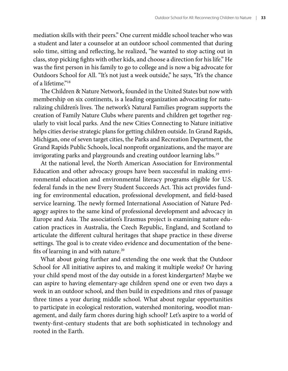mediation skills with their peers." One current middle school teacher who was a student and later a counselor at an outdoor school commented that during solo time, sitting and reflecting, he realized, "he wanted to stop acting out in class, stop picking fights with other kids, and choose a direction for his life." He was the first person in his family to go to college and is now a big advocate for Outdoors School for All. "It's not just a week outside," he says, "It's the chance of a lifetime."18

The Children & Nature Network, founded in the United States but now with membership on six continents, is a leading organization advocating for naturalizing children's lives. The network's Natural Families program supports the creation of Family Nature Clubs where parents and children get together regularly to visit local parks. And the new Cities Connecting to Nature initiative helps cities devise strategic plans for getting children outside. In Grand Rapids, Michigan, one of seven target cities, the Parks and Recreation Department, the Grand Rapids Public Schools, local nonprofit organizations, and the mayor are invigorating parks and playgrounds and creating outdoor learning labs.<sup>19</sup>

At the national level, the North American Association for Environmental Education and other advocacy groups have been successful in making environmental education and environmental literacy programs eligible for U.S. federal funds in the new Every Student Succeeds Act. This act provides funding for environmental education, professional development, and field-based service learning. The newly formed International Association of Nature Pedagogy aspires to the same kind of professional development and advocacy in Europe and Asia. The association's Erasmus project is examining nature education practices in Australia, the Czech Republic, England, and Scotland to articulate the different cultural heritages that shape practice in these diverse settings. The goal is to create video evidence and documentation of the benefits of learning in and with nature.20

What about going further and extending the one week that the Outdoor School for All initiative aspires to, and making it multiple weeks? Or having your child spend most of the day outside in a forest kindergarten? Maybe we can aspire to having elementary-age children spend one or even two days a week in an outdoor school, and then build in expeditions and rites of passage three times a year during middle school. What about regular opportunities to participate in ecological restoration, watershed monitoring, woodlot management, and daily farm chores during high school? Let's aspire to a world of twenty-first-century students that are both sophisticated in technology and rooted in the Earth.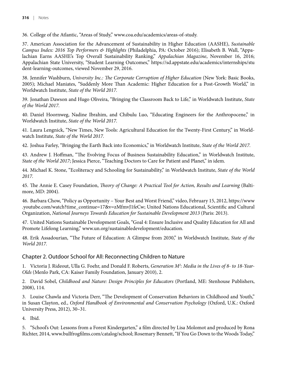36. College of the Atlantic, "Areas of Study," www.coa.edu/academics/areas-of-study.

37. American Association for the Advancement of Sustainability in Higher Education (AASHE), *Sustainable Campus Index: 2016 Top Performers & Highlights* (Philadelphia, PA: October 2016); Elisabeth B. Wall, "Appalachian Earns AASHE's Top Overall Sustainability Ranking," *Appalachian Magazine*, November 16, 2016; Appalachian State University, "Student Learning Outcomes," https://sd.appstate.edu/academics/internships/stu dent-learning-outcomes, viewed November 29, 2016.

38. Jennifer Washburn, *University Inc.: The Corporate Corruption of Higher Education* (New York: Basic Books, 2005); Michael Maniates, "Suddenly More Than Academic: Higher Education for a Post-Growth World," in Worldwatch Institute, *State of the World 2017.*

39. Jonathan Dawson and Hugo Oliveira, "Bringing the Classroom Back to Life," in Worldwatch Institute, *State of the World 2017.*

40. Daniel Hoornweg, Nadine Ibrahim, and Chibulu Luo, "Educating Engineers for the Anthropocene," in Worldwatch Institute, *State of the World 2017.*

41. Laura Lengnick, "New Times, New Tools: Agricultural Education for the Twenty-First Century," in Worldwatch Institute, *State of the World 2017.*

42. Joshua Farley, "Bringing the Earth Back into Economics," in Worldwatch Institute, *State of the World 2017.*

43. Andrew J. Hoffman, "The Evolving Focus of Business Sustainability Education," in Worldwatch Institute, *State of the World 2017*; Jessica Pierce, "Teaching Doctors to Care for Patient and Planet," in idem.

44. Michael K. Stone, "Ecoliteracy and Schooling for Sustainability," in Worldwatch Institute, *State of the World 2017.*

45. The Annie E. Casey Foundation, *Theory of Change: A Practical Tool for Action, Results and Learning* (Baltimore, MD: 2004).

46. Barbara Chow, "Policy as Opportunity – Your Best and Worst Friend," video, February 15, 2012, https://www .youtube.com/watch?time\_continue=17&v=zMfmvJ1feCw; United Nations Educational, Scientific and Cultural Organization, *National Journeys Towards Education for Sustainable Development 2013* (Paris: 2013).

47. United Nations Sustainable Development Goals, "Goal 4: Ensure Inclusive and Quality Education for All and Promote Lifelong Learning," www.un.org/sustainabledevelopment/education.

48. Erik Assadourian, "The Future of Education: A Glimpse from 2030," in Worldwatch Institute, *State of the World 2017.*

#### Chapter 2. Outdoor School for All: Reconnecting Children to Nature

1. Victoria J. Rideout, Ulla G. Foehr, and Donald F. Roberts, *Generation M2 : Media in the Lives of 8- to 18-Year-Olds* (Menlo Park, CA: Kaiser Family Foundation, January 2010), 2.

2. David Sobel, *Childhood and Nature: Design Principles for Educators* (Portland, ME: Stenhouse Publishers, 2008), 114.

3. Louise Chawla and Victoria Derr, "The Development of Conservation Behaviors in Childhood and Youth," in Susan Clayton, ed., *Oxford Handbook of Environmental and Conservation Psychology* (Oxford, U.K.: Oxford University Press, 2012), 30–31.

4. Ibid.

5. "School's Out: Lessons from a Forest Kindergarten," a film directed by Lisa Molomot and produced by Rona Richter, 2014, www.bullfrogfilms.com/catalog/school; Rosemary Bennett, "If You Go Down to the Woods Today,"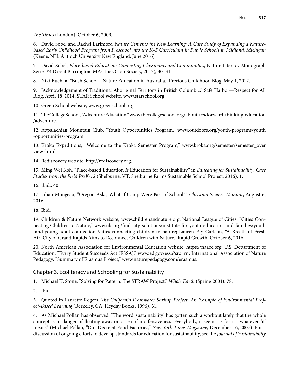*The Times* (London), October 6, 2009.

6. David Sobel and Rachel Larimore, *Nature Cements the New Learning: A Case Study of Expanding a Naturebased Early Childhood Program from Preschool into the K–5 Curriculum in Public Schools in Midland, Michigan*  (Keene, NH: Antioch University New England, June 2016).

7. David Sobel, *Place-based Education: Connecting Classrooms and Communities*, Nature Literacy Monograph Series #4 (Great Barrington, MA: The Orion Society, 2013), 30–31.

8. Niki Buchan, "Bush School—Nature Education in Australia," Precious Childhood Blog, May 1, 2012.

9. "Acknowledgement of Traditional Aboriginal Territory in British Columbia," Safe Harbor—Respect for All Blog, April 18, 2014; STAR School website, www.starschool.org.

10. Green School website, www.greenschool.org.

11. The College School, "Adventure Education," www.thecollegeschool.org/about-tcs/forward-thinking-education /adventure.

12. Appalachian Mountain Club, "Youth Opportunities Program," www.outdoors.org/youth-programs/youth -opportunities-program.

13. Kroka Expeditions, "Welcome to the Kroka Semester Program," www.kroka.org/semester/semester\_over view.shtml.

14. Rediscovery website, http://rediscovery.org.

15. Ming Wei Koh, "Place-based Education *Is* Education for Sustainability," in *Educating for Sustainability: Case Studies from the Field PreK-12* (Shelburne, VT: Shelburne Farms Sustainable School Project, 2016), 1.

16. Ibid., 40.

17. Lilian Mongeau, "Oregon Asks, What If Camp Were Part of School?" *Christian Science Monitor*, August 6, 2016.

18. Ibid.

19. Children & Nature Network website, www.childrenandnature.org; National League of Cities, "Cities Connecting Children to Nature," www.nlc.org/find-city-solutions/institute-for-youth-education-and-families/youth -and-young-adult-connections/cities-connecting-children-to-nature; Lauren Fay Carlson, "A Breath of Fresh Air: City of Grand Rapids Aims to Reconnect Children with Nature," Rapid Growth, October 6, 2016.

20. North American Association for Environmental Education website, https://naaee.org; U.S. Department of Education, "Every Student Succeeds Act (ESSA)," www.ed.gov/essa?src=rn; International Association of Nature Pedagogy, "Summary of Erasmus Project," www.naturepedagogy.com/erasmus.

#### Chapter 3. Ecoliteracy and Schooling for Sustainability

1. Michael K. Stone, "Solving for Pattern: The STRAW Project," *Whole Earth* (Spring 2001): 78.

2. Ibid.

3. Quoted in Laurette Rogers, *The California Freshwater Shrimp Project: An Example of Environmental Project-Based Learning* (Berkeley, CA: Heyday Books, 1996), 31.

4. As Michael Pollan has observed: "The word 'sustainability' has gotten such a workout lately that the whole concept is in danger of floating away on a sea of inoffensiveness. Everybody, it seems, is for it—whatever 'it' means" (Michael Pollan, "Our Decrepit Food Factories," *New York Times Magazine,* December 16, 2007). For a discussion of ongoing efforts to develop standards for education for sustainability, see the *Journal of Sustainability*